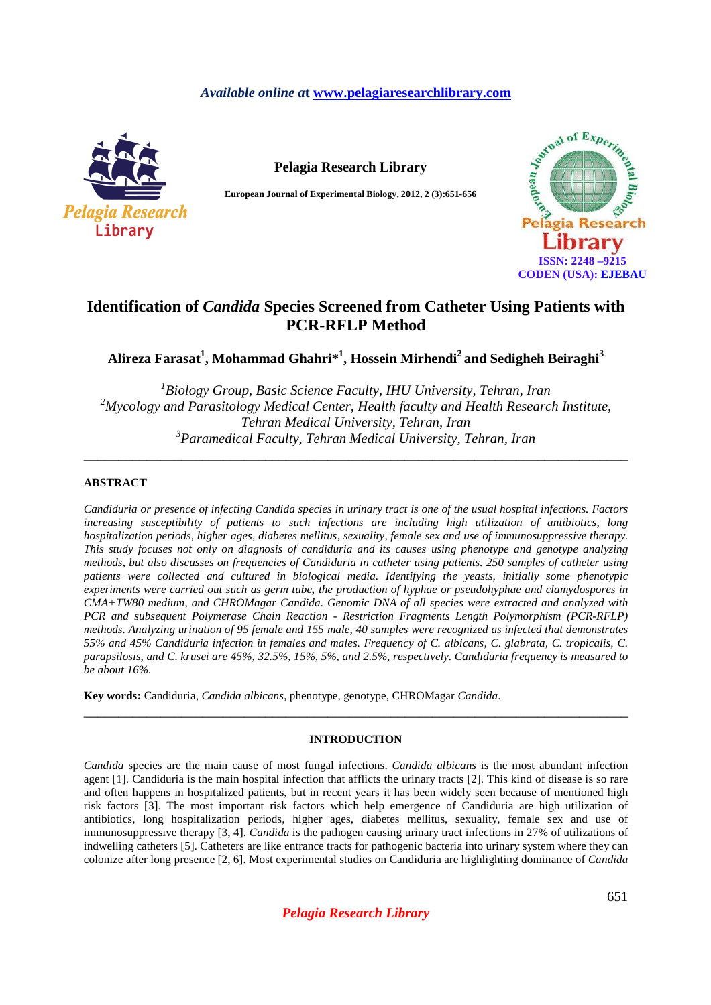# *Available online a***t www.pelagiaresearchlibrary.com**



**Pelagia Research Library** 

**European Journal of Experimental Biology, 2012, 2 (3):651-656** 



# **Identification of** *Candida* **Species Screened from Catheter Using Patients with PCR-RFLP Method**

**Alireza Farasat<sup>1</sup> , Mohammad Ghahri\*<sup>1</sup> , Hossein Mirhendi<sup>2</sup>and Sedigheh Beiraghi<sup>3</sup>**

 *Biology Group, Basic Science Faculty, IHU University, Tehran, Iran Mycology and Parasitology Medical Center, Health faculty and Health Research Institute, Tehran Medical University, Tehran, Iran Paramedical Faculty, Tehran Medical University, Tehran, Iran* 

\_\_\_\_\_\_\_\_\_\_\_\_\_\_\_\_\_\_\_\_\_\_\_\_\_\_\_\_\_\_\_\_\_\_\_\_\_\_\_\_\_\_\_\_\_\_\_\_\_\_\_\_\_\_\_\_\_\_\_\_\_\_\_\_\_\_\_\_\_\_\_\_\_\_\_\_\_\_

### **ABSTRACT**

*Candiduria or presence of infecting Candida species in urinary tract is one of the usual hospital infections. Factors increasing susceptibility of patients to such infections are including high utilization of antibiotics, long hospitalization periods, higher ages, diabetes mellitus, sexuality, female sex and use of immunosuppressive therapy. This study focuses not only on diagnosis of candiduria and its causes using phenotype and genotype analyzing methods, but also discusses on frequencies of Candiduria in catheter using patients. 250 samples of catheter using patients were collected and cultured in biological media. Identifying the yeasts, initially some phenotypic experiments were carried out such as germ tube, the production of hyphae or pseudohyphae and clamydospores in CMA+TW80 medium, and CHROMagar Candida. Genomic DNA of all species were extracted and analyzed with PCR and subsequent Polymerase Chain Reaction - Restriction Fragments Length Polymorphism (PCR-RFLP) methods. Analyzing urination of 95 female and 155 male, 40 samples were recognized as infected that demonstrates 55% and 45% Candiduria infection in females and males. Frequency of C. albicans, C. glabrata, C. tropicalis, C. parapsilosis, and C. krusei are 45%, 32.5%, 15%, 5%, and 2.5%, respectively. Candiduria frequency is measured to be about 16%.* 

**Key words:** Candiduria, *Candida albicans*, phenotype, genotype, CHROMagar *Candida*.

## **INTRODUCTION**

\_\_\_\_\_\_\_\_\_\_\_\_\_\_\_\_\_\_\_\_\_\_\_\_\_\_\_\_\_\_\_\_\_\_\_\_\_\_\_\_\_\_\_\_\_\_\_\_\_\_\_\_\_\_\_\_\_\_\_\_\_\_\_\_\_\_\_\_\_\_\_\_\_\_\_\_\_\_

*Candida* species are the main cause of most fungal infections. *Candida albicans* is the most abundant infection agent [1]. Candiduria is the main hospital infection that afflicts the urinary tracts [2]. This kind of disease is so rare and often happens in hospitalized patients, but in recent years it has been widely seen because of mentioned high risk factors [3]. The most important risk factors which help emergence of Candiduria are high utilization of antibiotics, long hospitalization periods, higher ages, diabetes mellitus, sexuality, female sex and use of immunosuppressive therapy [3, 4]. *Candida* is the pathogen causing urinary tract infections in 27% of utilizations of indwelling catheters [5]. Catheters are like entrance tracts for pathogenic bacteria into urinary system where they can colonize after long presence [2, 6]. Most experimental studies on Candiduria are highlighting dominance of *Candida* 

*Pelagia Research Library*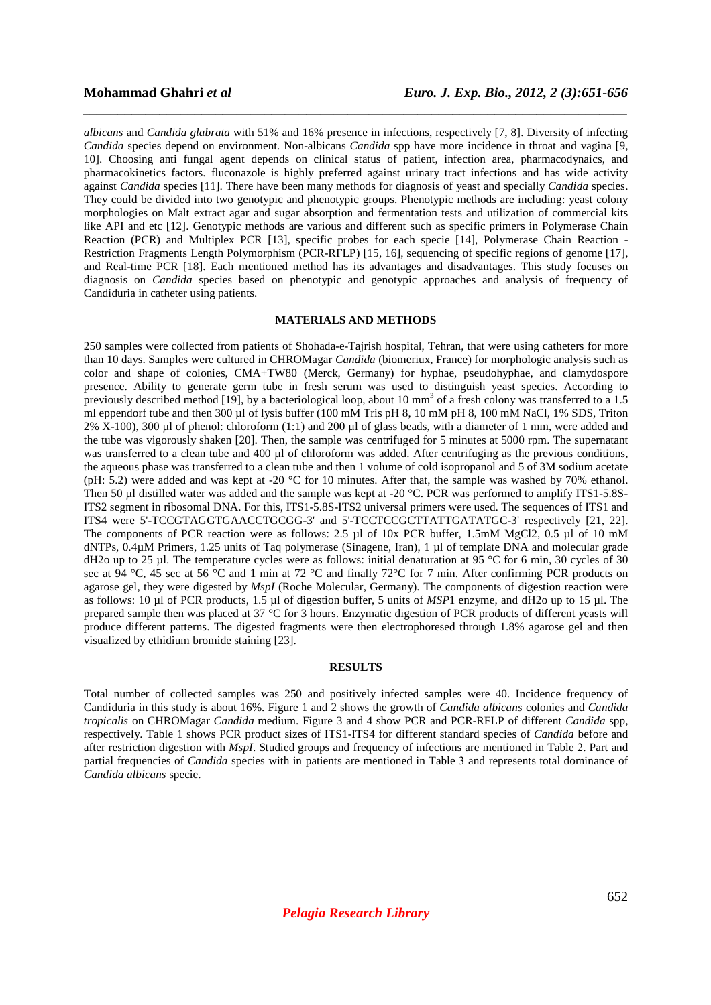*albicans* and *Candida glabrata* with 51% and 16% presence in infections, respectively [7, 8]. Diversity of infecting *Candida* species depend on environment. Non-albicans *Candida* spp have more incidence in throat and vagina [9, 10]. Choosing anti fungal agent depends on clinical status of patient, infection area, pharmacodynaics, and pharmacokinetics factors. fluconazole is highly preferred against urinary tract infections and has wide activity against *Candida* species [11]. There have been many methods for diagnosis of yeast and specially *Candida* species. They could be divided into two genotypic and phenotypic groups. Phenotypic methods are including: yeast colony morphologies on Malt extract agar and sugar absorption and fermentation tests and utilization of commercial kits like API and etc [12]. Genotypic methods are various and different such as specific primers in Polymerase Chain Reaction (PCR) and Multiplex PCR [13], specific probes for each specie [14], Polymerase Chain Reaction - Restriction Fragments Length Polymorphism (PCR-RFLP) [15, 16], sequencing of specific regions of genome [17], and Real-time PCR [18]. Each mentioned method has its advantages and disadvantages. This study focuses on diagnosis on *Candida* species based on phenotypic and genotypic approaches and analysis of frequency of Candiduria in catheter using patients.

*\_\_\_\_\_\_\_\_\_\_\_\_\_\_\_\_\_\_\_\_\_\_\_\_\_\_\_\_\_\_\_\_\_\_\_\_\_\_\_\_\_\_\_\_\_\_\_\_\_\_\_\_\_\_\_\_\_\_\_\_\_\_\_\_\_\_\_\_\_\_\_\_\_\_\_\_\_\_*

## **MATERIALS AND METHODS**

250 samples were collected from patients of Shohada-e-Tajrish hospital, Tehran, that were using catheters for more than 10 days. Samples were cultured in CHROMagar *Candida* (biomeriux, France) for morphologic analysis such as color and shape of colonies, CMA+TW80 (Merck, Germany) for hyphae, pseudohyphae, and clamydospore presence. Ability to generate germ tube in fresh serum was used to distinguish yeast species. According to previously described method [19], by a bacteriological loop, about 10 mm<sup>3</sup> of a fresh colony was transferred to a 1.5 ml eppendorf tube and then 300 µl of lysis buffer (100 mM Tris pH 8, 10 mM pH 8, 100 mM NaCl, 1% SDS, Triton  $2\%$  X-100), 300 µl of phenol: chloroform (1:1) and 200 µl of glass beads, with a diameter of 1 mm, were added and the tube was vigorously shaken [20]. Then, the sample was centrifuged for 5 minutes at 5000 rpm. The supernatant was transferred to a clean tube and 400 µl of chloroform was added. After centrifuging as the previous conditions, the aqueous phase was transferred to a clean tube and then 1 volume of cold isopropanol and 5 of 3M sodium acetate (pH: 5.2) were added and was kept at -20 °C for 10 minutes. After that, the sample was washed by 70% ethanol. Then 50 µl distilled water was added and the sample was kept at -20 °C. PCR was performed to amplify ITS1-5.8S-ITS2 segment in ribosomal DNA. For this, ITS1-5.8S-ITS2 universal primers were used. The sequences of ITS1 and ITS4 were 5'-TCCGTAGGTGAACCTGCGG-3' and 5'-TCCTCCGCTTATTGATATGC-3' respectively [21, 22]. The components of PCR reaction were as follows: 2.5 µl of 10x PCR buffer, 1.5mM MgCl2, 0.5 µl of 10 mM dNTPs, 0.4µM Primers, 1.25 units of Taq polymerase (Sinagene, Iran), 1 µl of template DNA and molecular grade dH2o up to 25 µl. The temperature cycles were as follows: initial denaturation at 95 °C for 6 min, 30 cycles of 30 sec at  $94 \text{ °C}$ , 45 sec at  $56 \text{ °C}$  and 1 min at 72  $\text{ °C}$  and finally 72 $\text{ °C}$  for 7 min. After confirming PCR products on agarose gel, they were digested by *MspI* (Roche Molecular, Germany). The components of digestion reaction were as follows: 10 µl of PCR products, 1.5 µl of digestion buffer, 5 units of *MSP*1 enzyme, and dH2o up to 15 µl. The prepared sample then was placed at 37 °C for 3 hours. Enzymatic digestion of PCR products of different yeasts will produce different patterns. The digested fragments were then electrophoresed through 1.8% agarose gel and then visualized by ethidium bromide staining [23].

### **RESULTS**

Total number of collected samples was 250 and positively infected samples were 40. Incidence frequency of Candiduria in this study is about 16%. Figure 1 and 2 shows the growth of *Candida albicans* colonies and *Candida tropicalis* on CHROMagar *Candida* medium. Figure 3 and 4 show PCR and PCR-RFLP of different *Candida* spp, respectively. Table 1 shows PCR product sizes of ITS1-ITS4 for different standard species of *Candida* before and after restriction digestion with *MspI*. Studied groups and frequency of infections are mentioned in Table 2. Part and partial frequencies of *Candida* species with in patients are mentioned in Table 3 and represents total dominance of *Candida albicans* specie.

*Pelagia Research Library*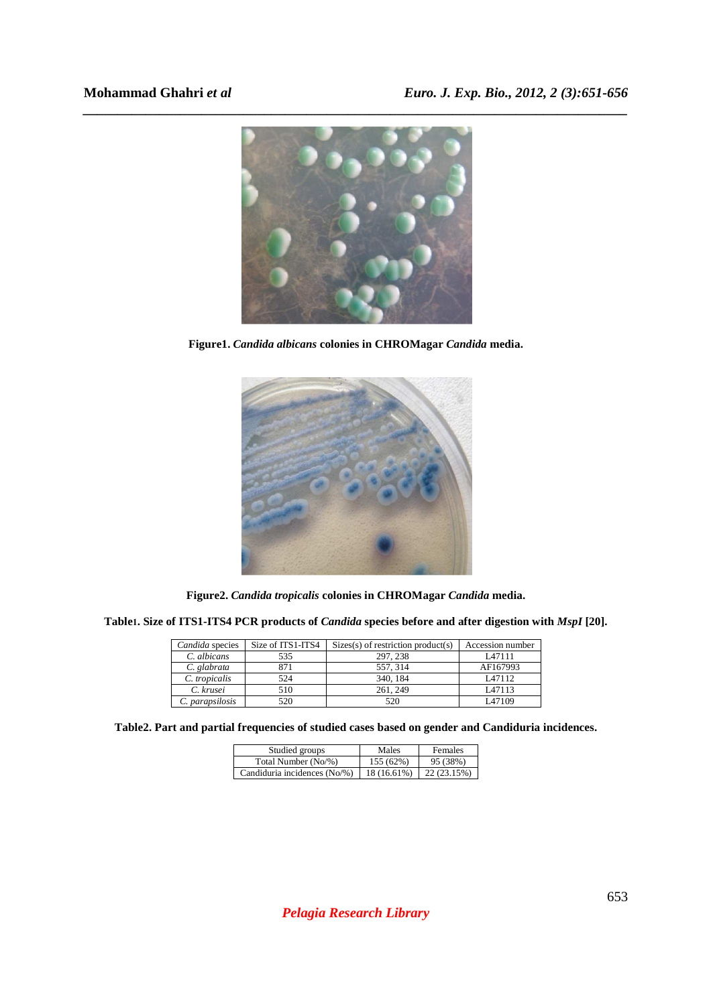

**Figure1.** *Candida albicans* **colonies in CHROMagar** *Candida* **media.** 



**Figure2.** *Candida tropicalis* **colonies in CHROMagar** *Candida* **media.** 

**Table1. Size of ITS1-ITS4 PCR products of** *Candida* **species before and after digestion with** *MspI* **[20].** 

| Candida species | Size of ITS1-ITS4 | $\text{Sizes}(s)$ of restriction product(s) | Accession number |
|-----------------|-------------------|---------------------------------------------|------------------|
| C. albicans     | 535               | 297, 238                                    | L47111           |
| C. glabrata     | 871               | 557, 314                                    | AF167993         |
| C. tropicalis   | 524               | 340, 184                                    | L47112           |
| C. krusei       | 510               | 261, 249                                    | L47113           |
| C. parapsilosis | 520               | 520                                         | L47109           |

**Table2. Part and partial frequencies of studied cases based on gender and Candiduria incidences.** 

| Studied groups               | Males       | <b>Females</b> |
|------------------------------|-------------|----------------|
| Total Number (No/%)          | 155 (62%)   | 95 (38%)       |
| Candiduria incidences (No/%) | 18 (16.61%) | 22 (23.15%)    |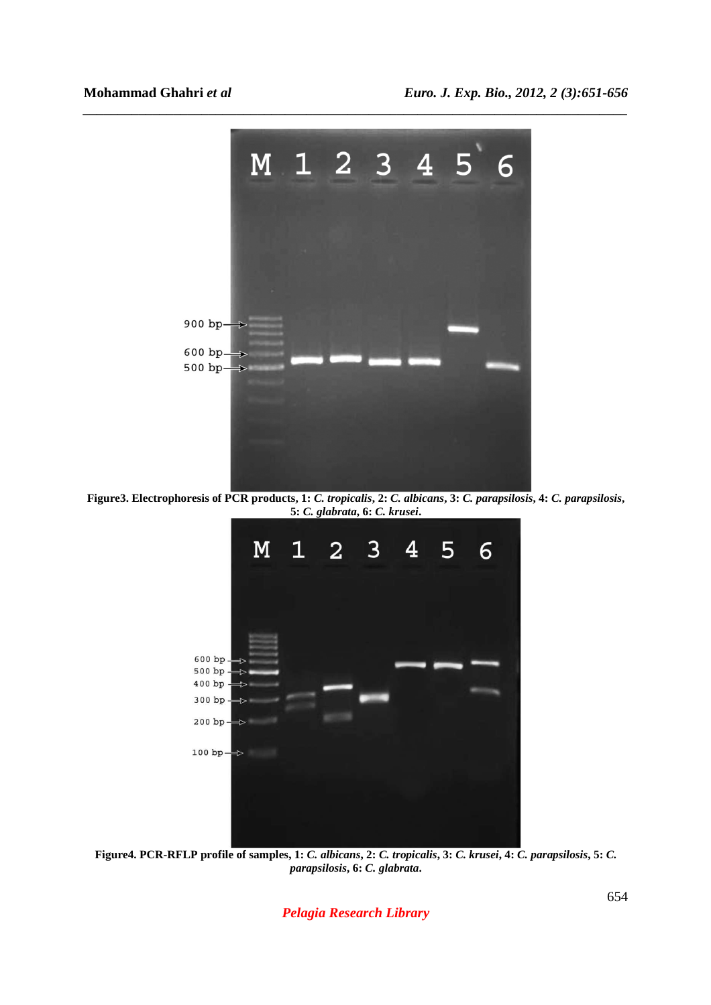

*\_\_\_\_\_\_\_\_\_\_\_\_\_\_\_\_\_\_\_\_\_\_\_\_\_\_\_\_\_\_\_\_\_\_\_\_\_\_\_\_\_\_\_\_\_\_\_\_\_\_\_\_\_\_\_\_\_\_\_\_\_\_\_\_\_\_\_\_\_\_\_\_\_\_\_\_\_\_*

**Figure3. Electrophoresis of PCR products, 1:** *C. tropicalis***, 2:** *C. albicans***, 3:** *C. parapsilosis***, 4:** *C. parapsilosis***, 5:** *C. glabrata***, 6:** *C. krusei***.** 



**Figure4. PCR-RFLP profile of samples, 1:** *C. albicans***, 2:** *C. tropicalis***, 3:** *C. krusei***, 4:** *C. parapsilosis***, 5:** *C. parapsilosis***, 6:** *C. glabrata***.** 

*Pelagia Research Library*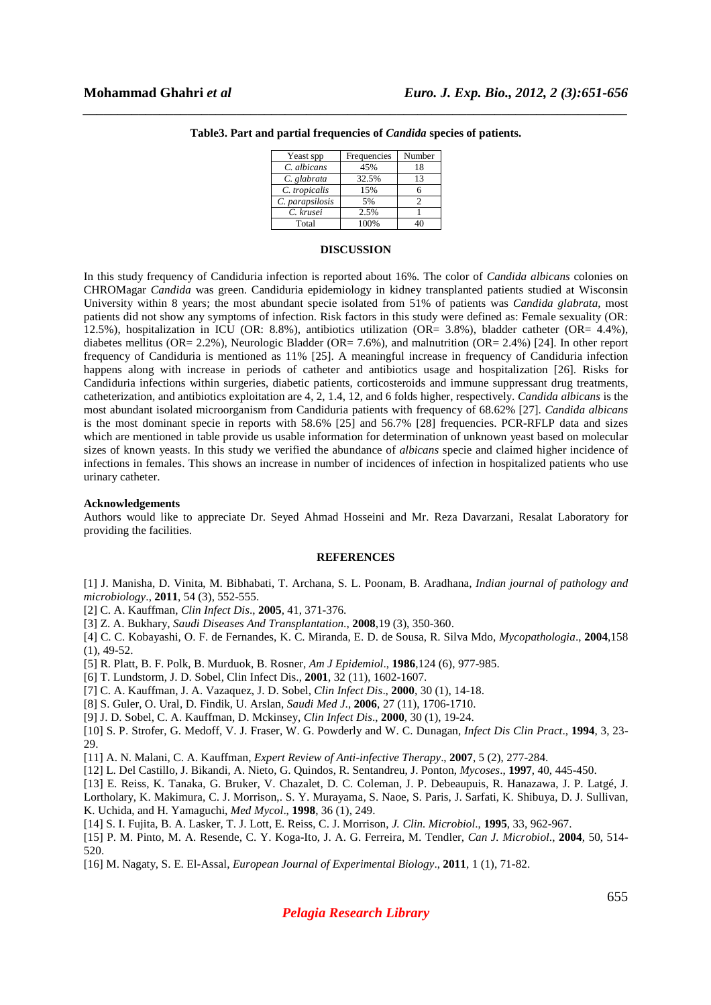| Yeast spp       | Frequencies | Number |
|-----------------|-------------|--------|
| C. albicans     | 45%         | 18     |
| C. glabrata     | 32.5%       | 13     |
| C. tropicalis   | 15%         |        |
| C. parapsilosis | 5%          |        |
| C. krusei       | 2.5%        |        |
| Total           | 100%        |        |

# *\_\_\_\_\_\_\_\_\_\_\_\_\_\_\_\_\_\_\_\_\_\_\_\_\_\_\_\_\_\_\_\_\_\_\_\_\_\_\_\_\_\_\_\_\_\_\_\_\_\_\_\_\_\_\_\_\_\_\_\_\_\_\_\_\_\_\_\_\_\_\_\_\_\_\_\_\_\_* **Table3. Part and partial frequencies of** *Candida* **species of patients.**

### **DISCUSSION**

In this study frequency of Candiduria infection is reported about 16%. The color of *Candida albicans* colonies on CHROMagar *Candida* was green. Candiduria epidemiology in kidney transplanted patients studied at Wisconsin University within 8 years; the most abundant specie isolated from 51% of patients was *Candida glabrata*, most patients did not show any symptoms of infection. Risk factors in this study were defined as: Female sexuality (OR: 12.5%), hospitalization in ICU (OR: 8.8%), antibiotics utilization (OR= 3.8%), bladder catheter (OR= 4.4%), diabetes mellitus (OR= 2.2%), Neurologic Bladder (OR= 7.6%), and malnutrition (OR= 2.4%) [24]. In other report frequency of Candiduria is mentioned as 11% [25]. A meaningful increase in frequency of Candiduria infection happens along with increase in periods of catheter and antibiotics usage and hospitalization [26]. Risks for Candiduria infections within surgeries, diabetic patients, corticosteroids and immune suppressant drug treatments, catheterization, and antibiotics exploitation are 4, 2, 1.4, 12, and 6 folds higher, respectively. *Candida albicans* is the most abundant isolated microorganism from Candiduria patients with frequency of 68.62% [27]. *Candida albicans* is the most dominant specie in reports with 58.6% [25] and 56.7% [28] frequencies. PCR-RFLP data and sizes which are mentioned in table provide us usable information for determination of unknown yeast based on molecular sizes of known yeasts. In this study we verified the abundance of *albicans* specie and claimed higher incidence of infections in females. This shows an increase in number of incidences of infection in hospitalized patients who use urinary catheter.

### **Acknowledgements**

Authors would like to appreciate Dr. Seyed Ahmad Hosseini and Mr. Reza Davarzani, Resalat Laboratory for providing the facilities.

### **REFERENCES**

[1] J. Manisha, D. Vinita, M. Bibhabati, T. Archana, S. L. Poonam, B. Aradhana, *Indian journal of pathology and microbiology*., **2011**, 54 (3), 552-555.

[2] C. A. Kauffman, *Clin Infect Dis*., **2005**, 41, 371-376.

[3] Z. A. Bukhary, *Saudi Diseases And Transplantation*., **2008**,19 (3), 350-360.

[4] C. C. Kobayashi, O. F. de Fernandes, K. C. Miranda, E. D. de Sousa, R. Silva Mdo, *Mycopathologia*., **2004**,158  $(1), 49-52.$ 

- [5] R. Platt, B. F. Polk, B. Murduok, B. Rosner, *Am J Epidemiol*., **1986**,124 (6), 977-985.
- [6] T. Lundstorm, J. D. Sobel, Clin Infect Dis., **2001**, 32 (11), 1602-1607.
- [7] C. A. Kauffman, J. A. Vazaquez, J. D. Sobel, *Clin Infect Dis*., **2000**, 30 (1), 14-18.
- [8] S. Guler, O. Ural, D. Findik, U. Arslan, *Saudi Med J*., **2006**, 27 (11), 1706-1710.
- [9] J. D. Sobel, C. A. Kauffman, D. Mckinsey, *Clin Infect Dis*., **2000**, 30 (1), 19-24.
- [10] S. P. Strofer, G. Medoff, V. J. Fraser, W. G. Powderly and W. C. Dunagan, *Infect Dis Clin Pract*., **1994**, 3, 23- 29.

[11] A. N. Malani, C. A. Kauffman, *Expert Review of Anti-infective Therapy*., **2007**, 5 (2), 277-284.

- [12] L. Del Castillo, J. Bikandi, A. Nieto, G. Quindos, R. Sentandreu, J. Ponton, *Mycoses*., **1997**, 40, 445-450.
- [13] E. Reiss, K. Tanaka, G. Bruker, V. Chazalet, D. C. Coleman, J. P. Debeaupuis, R. Hanazawa, J. P. Latgé, J.

Lortholary, K. Makimura, C. J. Morrison,. S. Y. Murayama, S. Naoe, S. Paris, J. Sarfati, K. Shibuya, D. J. Sullivan, K. Uchida, and H. Yamaguchi, *Med Mycol*., **1998**, 36 (1), 249.

[14] S. I. Fujita, B. A. Lasker, T. J. Lott, E. Reiss, C. J. Morrison, *J. Clin. Microbiol*., **1995**, 33, 962-967.

[15] P. M. Pinto, M. A. Resende, C. Y. Koga-Ito, J. A. G. Ferreira, M. Tendler, *Can J. Microbiol*., **2004**, 50, 514- 520.

[16] M. Nagaty, S. E. El-Assal, *European Journal of Experimental Biology*., **2011**, 1 (1), 71-82.